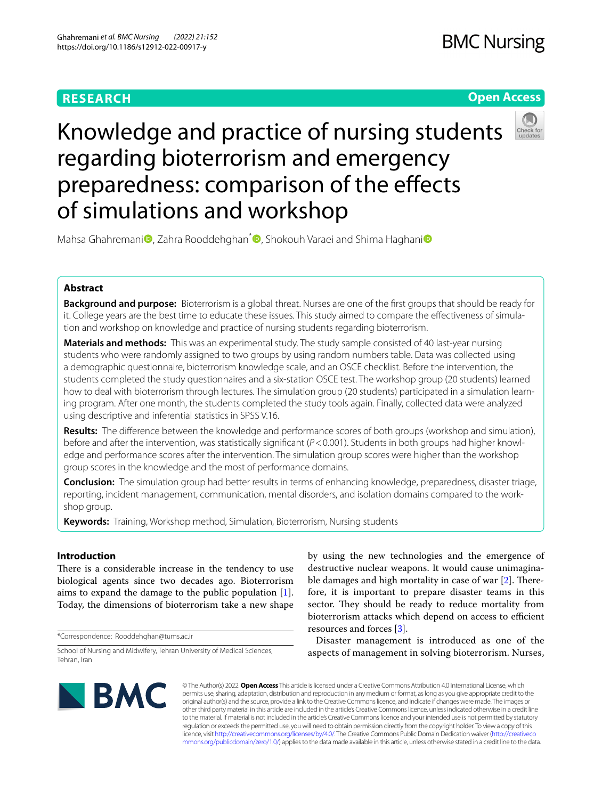# **RESEARCH**

# **Open Access**



Knowledge and practice of nursing students regarding bioterrorism and emergency preparedness: comparison of the efects of simulations and workshop

Mahsa Ghahreman[i](http://orcid.org/0000-0002-4091-9252)<sup>n</sup>, Zahra Rooddehghan<sup>[\\*](http://orcid.org/0000-0002-2068-9533)</sup> , Shokouh Varae[i](http://orcid.org/0000-0002-1334-975X) and Shima Haghani<sup>n</sup>

# **Abstract**

**Background and purpose:** Bioterrorism is a global threat. Nurses are one of the frst groups that should be ready for it. College years are the best time to educate these issues. This study aimed to compare the efectiveness of simulation and workshop on knowledge and practice of nursing students regarding bioterrorism.

**Materials and methods:** This was an experimental study. The study sample consisted of 40 last-year nursing students who were randomly assigned to two groups by using random numbers table. Data was collected using a demographic questionnaire, bioterrorism knowledge scale, and an OSCE checklist. Before the intervention, the students completed the study questionnaires and a six-station OSCE test. The workshop group (20 students) learned how to deal with bioterrorism through lectures. The simulation group (20 students) participated in a simulation learning program. After one month, the students completed the study tools again. Finally, collected data were analyzed using descriptive and inferential statistics in SPSS V.16.

**Results:** The diference between the knowledge and performance scores of both groups (workshop and simulation), before and after the intervention, was statistically signifcant (*P*<0.001). Students in both groups had higher knowledge and performance scores after the intervention. The simulation group scores were higher than the workshop group scores in the knowledge and the most of performance domains.

**Conclusion:** The simulation group had better results in terms of enhancing knowledge, preparedness, disaster triage, reporting, incident management, communication, mental disorders, and isolation domains compared to the workshop group.

**Keywords:** Training, Workshop method, Simulation, Bioterrorism, Nursing students

# **Introduction**

There is a considerable increase in the tendency to use biological agents since two decades ago. Bioterrorism aims to expand the damage to the public population [\[1](#page-6-0)]. Today, the dimensions of bioterrorism take a new shape

\*Correspondence: Rooddehghan@tums.ac.ir

School of Nursing and Midwifery, Tehran University of Medical Sciences, Tehran, Iran

by using the new technologies and the emergence of destructive nuclear weapons. It would cause unimaginable damages and high mortality in case of war  $[2]$  $[2]$  $[2]$ . Therefore, it is important to prepare disaster teams in this sector. They should be ready to reduce mortality from bioterrorism attacks which depend on access to efficient resources and forces [\[3](#page-6-2)].

Disaster management is introduced as one of the aspects of management in solving bioterrorism. Nurses,



© The Author(s) 2022. **Open Access** This article is licensed under a Creative Commons Attribution 4.0 International License, which permits use, sharing, adaptation, distribution and reproduction in any medium or format, as long as you give appropriate credit to the original author(s) and the source, provide a link to the Creative Commons licence, and indicate if changes were made. The images or other third party material in this article are included in the article's Creative Commons licence, unless indicated otherwise in a credit line to the material. If material is not included in the article's Creative Commons licence and your intended use is not permitted by statutory regulation or exceeds the permitted use, you will need to obtain permission directly from the copyright holder. To view a copy of this licence, visit [http://creativecommons.org/licenses/by/4.0/.](http://creativecommons.org/licenses/by/4.0/) The Creative Commons Public Domain Dedication waiver ([http://creativeco](http://creativecommons.org/publicdomain/zero/1.0/) [mmons.org/publicdomain/zero/1.0/](http://creativecommons.org/publicdomain/zero/1.0/)) applies to the data made available in this article, unless otherwise stated in a credit line to the data.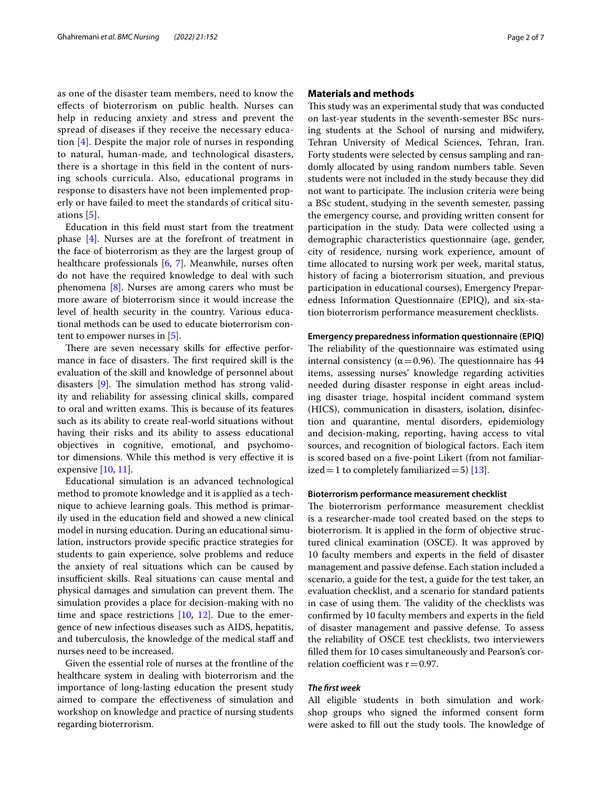as one of the disaster team members, need to know the efects of bioterrorism on public health. Nurses can help in reducing anxiety and stress and prevent the spread of diseases if they receive the necessary education [[4\]](#page-6-3). Despite the major role of nurses in responding to natural, human-made, and technological disasters, there is a shortage in this feld in the content of nursing schools curricula. Also, educational programs in response to disasters have not been implemented properly or have failed to meet the standards of critical situations [[5](#page-6-4)].

Education in this feld must start from the treatment phase [\[4\]](#page-6-3). Nurses are at the forefront of treatment in the face of bioterrorism as they are the largest group of healthcare professionals [\[6,](#page-6-5) [7\]](#page-6-6). Meanwhile, nurses often do not have the required knowledge to deal with such phenomena [[8\]](#page-6-7). Nurses are among carers who must be more aware of bioterrorism since it would increase the level of health security in the country. Various educational methods can be used to educate bioterrorism content to empower nurses in [[5\]](#page-6-4).

There are seven necessary skills for effective performance in face of disasters. The first required skill is the evaluation of the skill and knowledge of personnel about disasters  $[9]$  $[9]$ . The simulation method has strong validity and reliability for assessing clinical skills, compared to oral and written exams. This is because of its features such as its ability to create real-world situations without having their risks and its ability to assess educational objectives in cognitive, emotional, and psychomotor dimensions. While this method is very efective it is expensive [\[10,](#page-6-9) [11](#page-6-10)].

Educational simulation is an advanced technological method to promote knowledge and it is applied as a technique to achieve learning goals. This method is primarily used in the education feld and showed a new clinical model in nursing education. During an educational simulation, instructors provide specifc practice strategies for students to gain experience, solve problems and reduce the anxiety of real situations which can be caused by insufficient skills. Real situations can cause mental and physical damages and simulation can prevent them. The simulation provides a place for decision-making with no time and space restrictions [\[10](#page-6-9), [12\]](#page-6-11). Due to the emergence of new infectious diseases such as AIDS, hepatitis, and tuberculosis, the knowledge of the medical staff and nurses need to be increased.

Given the essential role of nurses at the frontline of the healthcare system in dealing with bioterrorism and the importance of long-lasting education the present study aimed to compare the efectiveness of simulation and workshop on knowledge and practice of nursing students regarding bioterrorism.

## **Materials and methods**

This study was an experimental study that was conducted on last-year students in the seventh-semester BSc nursing students at the School of nursing and midwifery, Tehran University of Medical Sciences, Tehran, Iran. Forty students were selected by census sampling and randomly allocated by using random numbers table. Seven students were not included in the study because they did not want to participate. The inclusion criteria were being a BSc student, studying in the seventh semester, passing the emergency course, and providing written consent for participation in the study. Data were collected using a demographic characteristics questionnaire (age, gender, city of residence, nursing work experience, amount of time allocated to nursing work per week, marital status, history of facing a bioterrorism situation, and previous participation in educational courses), Emergency Preparedness Information Questionnaire (EPIQ), and six-station bioterrorism performance measurement checklists.

#### **Emergency preparedness information questionnaire (EPIQ)**

The reliability of the questionnaire was estimated using internal consistency ( $\alpha$  = 0.96). The questionnaire has 44 items, assessing nurses' knowledge regarding activities needed during disaster response in eight areas including disaster triage, hospital incident command system (HICS), communication in disasters, isolation, disinfection and quarantine, mental disorders, epidemiology and decision-making, reporting, having access to vital sources, and recognition of biological factors. Each item is scored based on a fve-point Likert (from not familiarized = 1 to completely familiarized = 5)  $[13]$ .

## **Bioterrorism performance measurement checklist**

The bioterrorism performance measurement checklist is a researcher-made tool created based on the steps to bioterrorism. It is applied in the form of objective structured clinical examination (OSCE). It was approved by 10 faculty members and experts in the feld of disaster management and passive defense. Each station included a scenario, a guide for the test, a guide for the test taker, an evaluation checklist, and a scenario for standard patients in case of using them. The validity of the checklists was confrmed by 10 faculty members and experts in the feld of disaster management and passive defense. To assess the reliability of OSCE test checklists, two interviewers flled them for 10 cases simultaneously and Pearson's correlation coefficient was  $r = 0.97$ .

## *The frst week*

All eligible students in both simulation and workshop groups who signed the informed consent form were asked to fill out the study tools. The knowledge of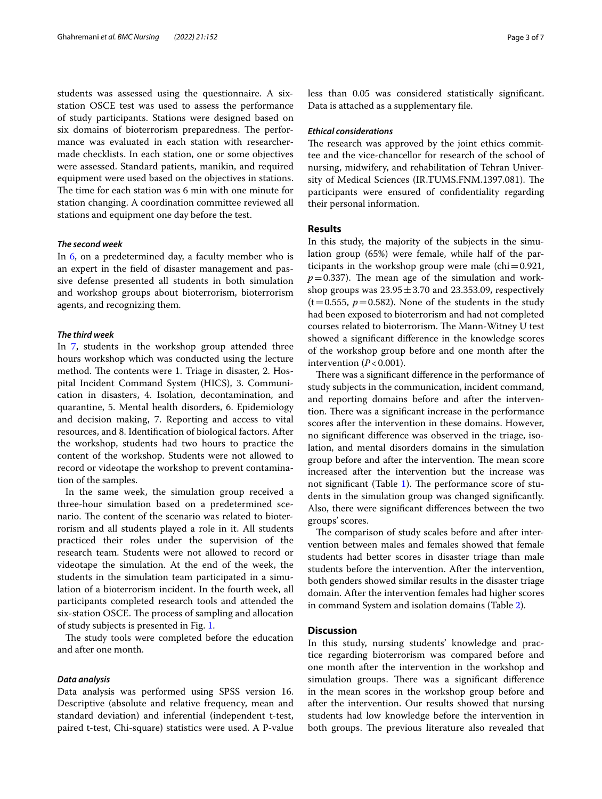students was assessed using the questionnaire. A sixstation OSCE test was used to assess the performance of study participants. Stations were designed based on six domains of bioterrorism preparedness. The performance was evaluated in each station with researchermade checklists. In each station, one or some objectives were assessed. Standard patients, manikin, and required equipment were used based on the objectives in stations. The time for each station was 6 min with one minute for station changing. A coordination committee reviewed all stations and equipment one day before the test.

## <span id="page-2-0"></span>*The second week*

In [6,](#page-2-0) on a predetermined day, a faculty member who is an expert in the feld of disaster management and passive defense presented all students in both simulation and workshop groups about bioterrorism, bioterrorism agents, and recognizing them.

## <span id="page-2-1"></span>*The third week*

In [7](#page-2-1), students in the workshop group attended three hours workshop which was conducted using the lecture method. The contents were 1. Triage in disaster, 2. Hospital Incident Command System (HICS), 3. Communication in disasters, 4. Isolation, decontamination, and quarantine, 5. Mental health disorders, 6. Epidemiology and decision making, 7. Reporting and access to vital resources, and 8. Identifcation of biological factors. After the workshop, students had two hours to practice the content of the workshop. Students were not allowed to record or videotape the workshop to prevent contamination of the samples.

In the same week, the simulation group received a three-hour simulation based on a predetermined scenario. The content of the scenario was related to bioterrorism and all students played a role in it. All students practiced their roles under the supervision of the research team. Students were not allowed to record or videotape the simulation. At the end of the week, the students in the simulation team participated in a simulation of a bioterrorism incident. In the fourth week, all participants completed research tools and attended the six-station OSCE. The process of sampling and allocation of study subjects is presented in Fig. [1.](#page-3-0)

The study tools were completed before the education and after one month.

### *Data analysis*

Data analysis was performed using SPSS version 16. Descriptive (absolute and relative frequency, mean and standard deviation) and inferential (independent t-test, paired t-test, Chi-square) statistics were used. A P-value less than 0.05 was considered statistically signifcant. Data is attached as a supplementary fle.

## *Ethical considerations*

The research was approved by the joint ethics committee and the vice-chancellor for research of the school of nursing, midwifery, and rehabilitation of Tehran University of Medical Sciences (IR.TUMS.FNM.1397.081). The participants were ensured of confdentiality regarding their personal information.

## **Results**

In this study, the majority of the subjects in the simulation group (65%) were female, while half of the participants in the workshop group were male  $\left(\text{chi}=0.921\right)$ ,  $p=0.337$ ). The mean age of the simulation and workshop groups was  $23.95 \pm 3.70$  and  $23.353.09$ , respectively  $(t=0.555, p=0.582)$ . None of the students in the study had been exposed to bioterrorism and had not completed courses related to bioterrorism. The Mann-Witney U test showed a signifcant diference in the knowledge scores of the workshop group before and one month after the intervention  $(P<0.001)$ .

There was a significant difference in the performance of study subjects in the communication, incident command, and reporting domains before and after the intervention. There was a significant increase in the performance scores after the intervention in these domains. However, no signifcant diference was observed in the triage, isolation, and mental disorders domains in the simulation group before and after the intervention. The mean score increased after the intervention but the increase was not significant (Table [1](#page-4-0)). The performance score of students in the simulation group was changed signifcantly. Also, there were signifcant diferences between the two groups' scores.

The comparison of study scales before and after intervention between males and females showed that female students had better scores in disaster triage than male students before the intervention. After the intervention, both genders showed similar results in the disaster triage domain. After the intervention females had higher scores in command System and isolation domains (Table [2](#page-4-1)).

## **Discussion**

In this study, nursing students' knowledge and practice regarding bioterrorism was compared before and one month after the intervention in the workshop and simulation groups. There was a significant difference in the mean scores in the workshop group before and after the intervention. Our results showed that nursing students had low knowledge before the intervention in both groups. The previous literature also revealed that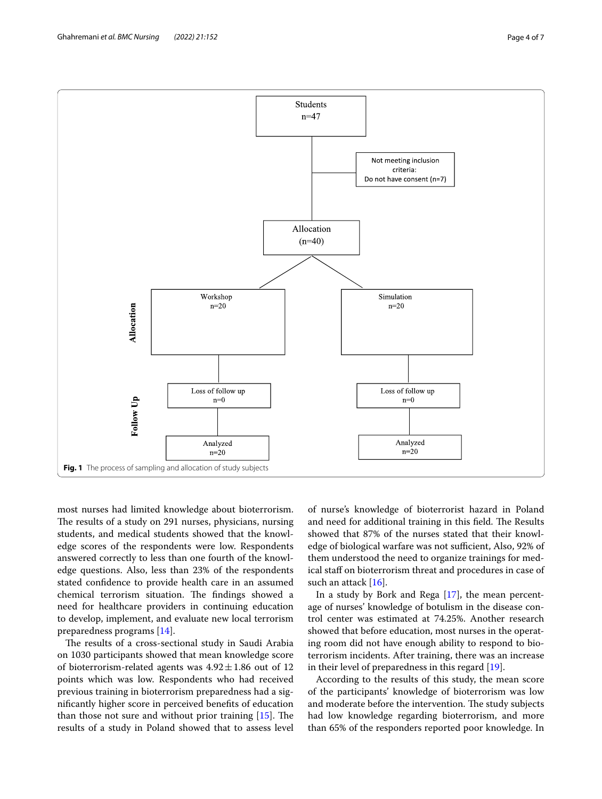

<span id="page-3-0"></span>most nurses had limited knowledge about bioterrorism. The results of a study on 291 nurses, physicians, nursing students, and medical students showed that the knowledge scores of the respondents were low. Respondents answered correctly to less than one fourth of the knowledge questions. Also, less than 23% of the respondents stated confdence to provide health care in an assumed chemical terrorism situation. The findings showed a need for healthcare providers in continuing education to develop, implement, and evaluate new local terrorism preparedness programs [\[14\]](#page-6-13).

The results of a cross-sectional study in Saudi Arabia on 1030 participants showed that mean knowledge score of bioterrorism-related agents was  $4.92 \pm 1.86$  out of 12 points which was low. Respondents who had received previous training in bioterrorism preparedness had a signifcantly higher score in perceived benefts of education than those not sure and without prior training  $[15]$  $[15]$ . The results of a study in Poland showed that to assess level of nurse's knowledge of bioterrorist hazard in Poland and need for additional training in this field. The Results showed that 87% of the nurses stated that their knowledge of biological warfare was not sufficient, Also, 92% of them understood the need to organize trainings for medical staff on bioterrorism threat and procedures in case of such an attack [\[16](#page-6-15)].

In a study by Bork and Rega [\[17\]](#page-6-16), the mean percentage of nurses' knowledge of botulism in the disease control center was estimated at 74.25%. Another research showed that before education, most nurses in the operating room did not have enough ability to respond to bioterrorism incidents. After training, there was an increase in their level of preparedness in this regard [[19](#page-6-17)].

According to the results of this study, the mean score of the participants' knowledge of bioterrorism was low and moderate before the intervention. The study subjects had low knowledge regarding bioterrorism, and more than 65% of the responders reported poor knowledge. In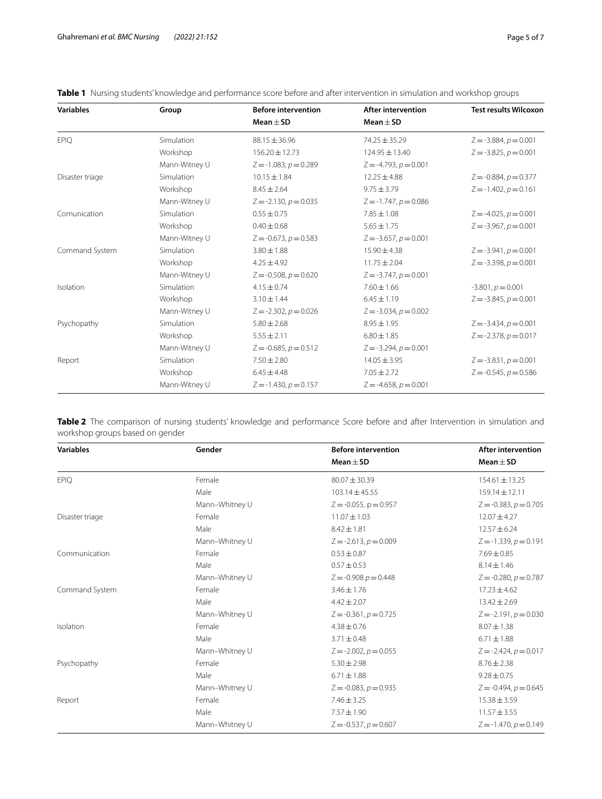| <b>Variables</b> | Group         | <b>Before intervention</b> | <b>After intervention</b>  | <b>Test results Wilcoxon</b> |
|------------------|---------------|----------------------------|----------------------------|------------------------------|
|                  |               | Mean $\pm$ SD              | Mean $\pm$ SD              |                              |
| <b>EPIQ</b>      | Simulation    | $88.15 \pm 36.96$          | $74.25 \pm 35.29$          | $Z = -3.884, p = 0.001$      |
|                  | Workshop      | $156.20 \pm 12.73$         | 124.95 ± 13.40             | $Z = -3.825$ , $p = 0.001$   |
|                  | Mann-Witney U | $Z = -1.083, p = 0.289$    | $Z = -4.793$ , $p = 0.001$ |                              |
| Disaster triage  | Simulation    | $10.15 \pm 1.84$           | $12.25 \pm 4.88$           | $Z = -0.884, p = 0.377$      |
|                  | Workshop      | $8.45 \pm 2.64$            | $9.75 \pm 3.79$            | $Z = -1.402$ , $p = 0.161$   |
|                  | Mann-Witney U | $Z = -2.130, p = 0.035$    | $Z = -1.747, p = 0.086$    |                              |
| Comunication     | Simulation    | $0.55 \pm 0.75$            | $7.85 \pm 1.08$            | $Z = -4.025$ , $p = 0.001$   |
|                  | Workshop      | $0.40 \pm 0.68$            | $5.65 \pm 1.75$            | $Z = -3.967, p = 0.001$      |
|                  | Mann-Witney U | $Z = -0.673$ , $p = 0.583$ | $Z = -3.657, p = 0.001$    |                              |
| Command System   | Simulation    | $3.80 \pm 1.88$            | $15.90 \pm 4.38$           | $Z = -3.941, p = 0.001$      |
|                  | Workshop      | $4.25 \pm 4.92$            | $11.75 \pm 2.04$           | $Z = -3.398, p = 0.001$      |
|                  | Mann-Witney U | $Z = -0.508$ , $p = 0.620$ | $Z = -3.747, p = 0.001$    |                              |
| Isolation        | Simulation    | $4.15 \pm 0.74$            | $7.60 \pm 1.66$            | $-3.801, p = 0.001$          |
|                  | Workshop      | $3.10 \pm 1.44$            | $6.45 \pm 1.19$            | $Z = -3.845, p = 0.001$      |
|                  | Mann-Witney U | $Z = -2.302, p = 0.026$    | $Z = -3.034, p = 0.002$    |                              |
| Psychopathy      | Simulation    | $5.80 \pm 2.68$            | $8.95 \pm 1.95$            | $Z = -3.434, p = 0.001$      |
|                  | Workshop      | $5.55 \pm 2.11$            | $6.80 \pm 1.85$            | $Z = -2.378, p = 0.017$      |
|                  | Mann-Witney U | $Z = -0.685, p = 0.512$    | $Z = -3.294, p = 0.001$    |                              |
| Report           | Simulation    | $7.50 \pm 2.80$            | $14.05 \pm 3.95$           | $Z = -3.831, p = 0.001$      |
|                  | Workshop      | $6.45 \pm 4.48$            | $7.05 \pm 2.72$            | $Z = -0.545$ , $p = 0.586$   |
|                  | Mann-Witney U | $Z = -1.430, p = 0.157$    | $Z = -4.658, p = 0.001$    |                              |

<span id="page-4-0"></span>**Table 1** Nursing students' knowledge and performance score before and after intervention in simulation and workshop groups

<span id="page-4-1"></span>**Table 2** The comparison of nursing students' knowledge and performance Score before and after Intervention in simulation and workshop groups based on gender

| <b>Variables</b> | Gender         | <b>Before intervention</b> | After intervention         |
|------------------|----------------|----------------------------|----------------------------|
|                  |                | Mean $\pm$ SD              | Mean $\pm$ SD              |
| <b>EPIQ</b>      | Female         | $80.07 \pm 30.39$          | $154.61 \pm 13.25$         |
|                  | Male           | $103.14 \pm 45.55$         | $159.14 \pm 12.11$         |
|                  | Mann-Whitney U | $Z = -0.055$ , $p = 0.957$ | $Z = -0.383, p = 0.705$    |
| Disaster triage  | Female         | $11.07 \pm 1.03$           | $12.07 \pm 4.27$           |
|                  | Male           | $8.42 \pm 1.81$            | $12.57 \pm 6.24$           |
|                  | Mann-Whitney U | $Z = -2.613$ , $p = 0.009$ | $Z = -1.339, p = 0.191$    |
| Communication    | Female         | $0.53 \pm 0.87$            | $7.69 \pm 0.85$            |
|                  | Male           | $0.57 \pm 0.53$            | $8.14 \pm 1.46$            |
|                  | Mann-Whitney U | $Z = -0.908 p = 0.448$     | $Z = -0.280, p = 0.787$    |
| Command System   | Female         | $3.46 \pm 1.76$            | $17.23 \pm 4.62$           |
|                  | Male           | $4.42 \pm 2.07$            | $13.42 \pm 2.69$           |
|                  | Mann-Whitney U | $Z = -0.361, p = 0.725$    | $Z = -2.191, p = 0.030$    |
| Isolation        | Female         | $4.38 \pm 0.76$            | $8.07 \pm 1.38$            |
|                  | Male           | $3.71 \pm 0.48$            | $6.71 \pm 1.88$            |
|                  | Mann-Whitney U | $Z = -2.002, p = 0.055$    | $Z = -2.424$ , $p = 0.017$ |
| Psychopathy      | Female         | $5.30 \pm 2.98$            | $8.76 \pm 2.38$            |
|                  | Male           | $6.71 \pm 1.88$            | $9.28 \pm 0.75$            |
|                  | Mann-Whitney U | $Z = -0.083, p = 0.935$    | $Z = -0.494$ , $p = 0.645$ |
| Report           | Female         | $7.46 \pm 3.25$            | $15.38 \pm 3.59$           |
|                  | Male           | $7.57 \pm 1.90$            | $11.57 \pm 3.55$           |
|                  | Mann-Whitney U | $Z = -0.537, p = 0.607$    | $Z = -1.470, p = 0.149$    |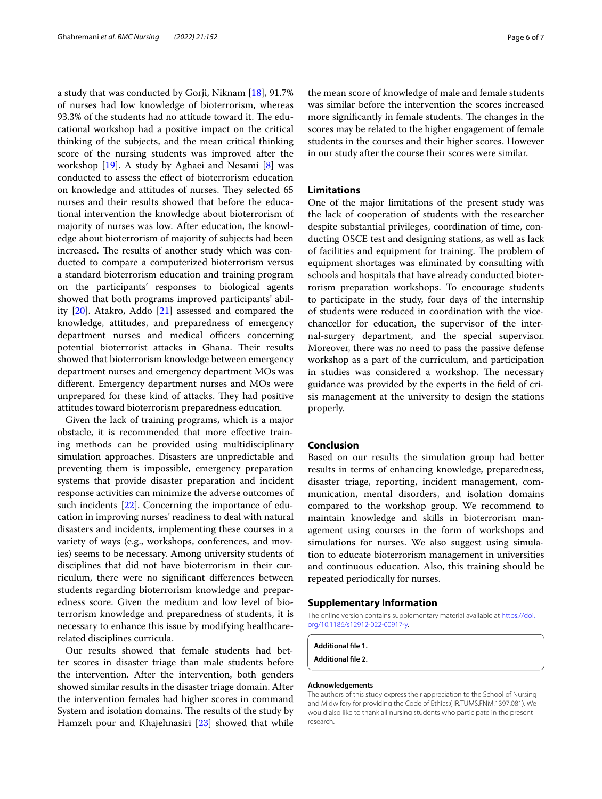a study that was conducted by Gorji, Niknam [[18\]](#page-6-18), 91.7% of nurses had low knowledge of bioterrorism, whereas 93.3% of the students had no attitude toward it. The educational workshop had a positive impact on the critical thinking of the subjects, and the mean critical thinking score of the nursing students was improved after the workshop [\[19\]](#page-6-17). A study by Aghaei and Nesami [\[8](#page-6-7)] was conducted to assess the efect of bioterrorism education on knowledge and attitudes of nurses. They selected 65 nurses and their results showed that before the educational intervention the knowledge about bioterrorism of majority of nurses was low. After education, the knowledge about bioterrorism of majority of subjects had been increased. The results of another study which was conducted to compare a computerized bioterrorism versus a standard bioterrorism education and training program on the participants' responses to biological agents showed that both programs improved participants' ability [\[20](#page-6-19)]. Atakro, Addo [[21\]](#page-6-20) assessed and compared the knowledge, attitudes, and preparedness of emergency department nurses and medical officers concerning potential bioterrorist attacks in Ghana. Their results showed that bioterrorism knowledge between emergency department nurses and emergency department MOs was diferent. Emergency department nurses and MOs were unprepared for these kind of attacks. They had positive attitudes toward bioterrorism preparedness education.

Given the lack of training programs, which is a major obstacle, it is recommended that more efective training methods can be provided using multidisciplinary simulation approaches. Disasters are unpredictable and preventing them is impossible, emergency preparation systems that provide disaster preparation and incident response activities can minimize the adverse outcomes of such incidents [\[22\]](#page-6-21). Concerning the importance of education in improving nurses' readiness to deal with natural disasters and incidents, implementing these courses in a variety of ways (e.g., workshops, conferences, and movies) seems to be necessary. Among university students of disciplines that did not have bioterrorism in their curriculum, there were no signifcant diferences between students regarding bioterrorism knowledge and preparedness score. Given the medium and low level of bioterrorism knowledge and preparedness of students, it is necessary to enhance this issue by modifying healthcarerelated disciplines curricula.

Our results showed that female students had better scores in disaster triage than male students before the intervention. After the intervention, both genders showed similar results in the disaster triage domain. After the intervention females had higher scores in command System and isolation domains. The results of the study by Hamzeh pour and Khajehnasiri [\[23](#page-6-22)] showed that while the mean score of knowledge of male and female students was similar before the intervention the scores increased more significantly in female students. The changes in the scores may be related to the higher engagement of female students in the courses and their higher scores. However in our study after the course their scores were similar.

#### **Limitations**

One of the major limitations of the present study was the lack of cooperation of students with the researcher despite substantial privileges, coordination of time, conducting OSCE test and designing stations, as well as lack of facilities and equipment for training. The problem of equipment shortages was eliminated by consulting with schools and hospitals that have already conducted bioterrorism preparation workshops. To encourage students to participate in the study, four days of the internship of students were reduced in coordination with the vicechancellor for education, the supervisor of the internal-surgery department, and the special supervisor. Moreover, there was no need to pass the passive defense workshop as a part of the curriculum, and participation in studies was considered a workshop. The necessary guidance was provided by the experts in the feld of crisis management at the university to design the stations properly.

## **Conclusion**

Based on our results the simulation group had better results in terms of enhancing knowledge, preparedness, disaster triage, reporting, incident management, communication, mental disorders, and isolation domains compared to the workshop group. We recommend to maintain knowledge and skills in bioterrorism management using courses in the form of workshops and simulations for nurses. We also suggest using simulation to educate bioterrorism management in universities and continuous education. Also, this training should be repeated periodically for nurses.

#### **Supplementary Information**

The online version contains supplementary material available at [https://doi.](https://doi.org/10.1186/s12912-022-00917-y) [org/10.1186/s12912-022-00917-y.](https://doi.org/10.1186/s12912-022-00917-y)

**Additional fle 1.**

**Additional fle 2.**

#### **Acknowledgements**

The authors of this study express their appreciation to the School of Nursing and Midwifery for providing the Code of Ethics:( IR.TUMS.FNM.1397.081). We would also like to thank all nursing students who participate in the present research.